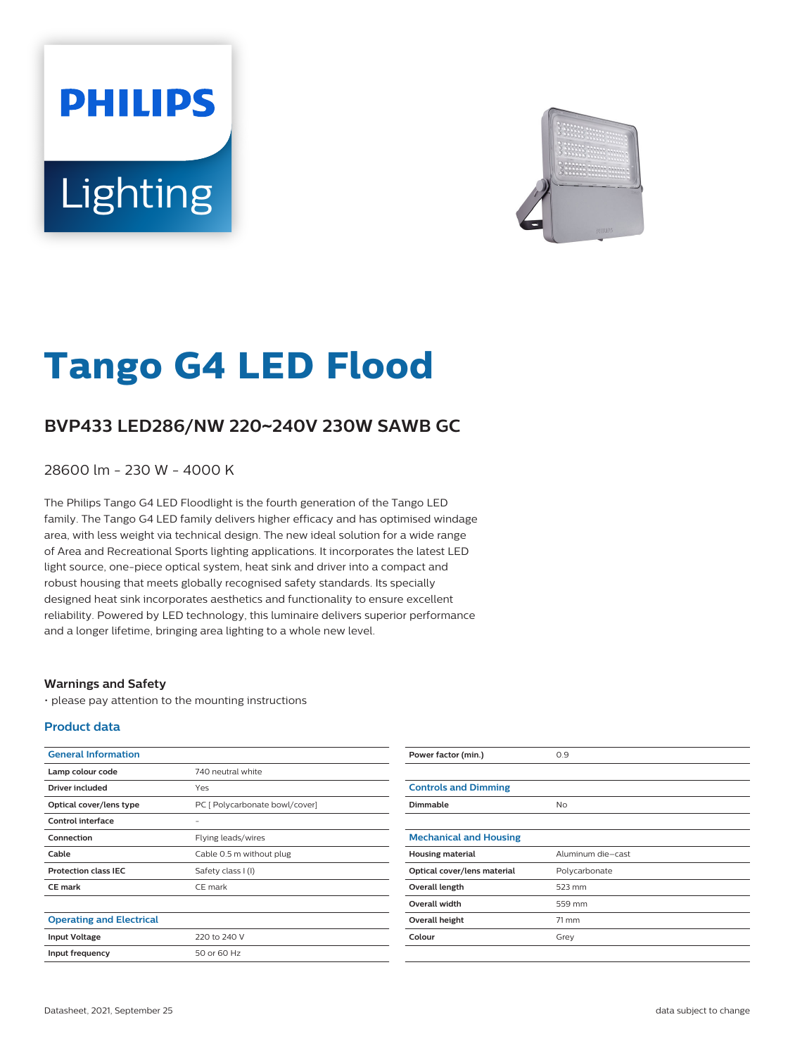# **PHILIPS** Lighting



# **Tango G4 LED Flood**

## **BVP433 LED286/NW 220**~**240V 230W SAWB GC**

28600 lm - 230 W - 4000 K

The Philips Tango G4 LED Floodlight is the fourth generation of the Tango LED family. The Tango G4 LED family delivers higher efficacy and has optimised windage area, with less weight via technical design. The new ideal solution for a wide range of Area and Recreational Sports lighting applications. It incorporates the latest LED light source, one-piece optical system, heat sink and driver into a compact and robust housing that meets globally recognised safety standards. Its specially designed heat sink incorporates aesthetics and functionality to ensure excellent reliability. Powered by LED technology, this luminaire delivers superior performance and a longer lifetime, bringing area lighting to a whole new level.

#### **Warnings and Safety**

• please pay attention to the mounting instructions

#### **Product data**

| <b>General Information</b>      |                                | Power factor (min.)           | 0.9               |
|---------------------------------|--------------------------------|-------------------------------|-------------------|
| Lamp colour code                | 740 neutral white              |                               |                   |
| <b>Driver included</b>          | Yes                            | <b>Controls and Dimming</b>   |                   |
| Optical cover/lens type         | PC [ Polycarbonate bowl/cover] | Dimmable                      | <b>No</b>         |
| Control interface               |                                |                               |                   |
| Connection                      | Flying leads/wires             | <b>Mechanical and Housing</b> |                   |
| Cable                           | Cable 0.5 m without plug       | <b>Housing material</b>       | Aluminum die-cast |
| <b>Protection class IEC</b>     | Safety class I (I)             | Optical cover/lens material   | Polycarbonate     |
| <b>CE mark</b>                  | CE mark                        | Overall length                | 523 mm            |
|                                 |                                | Overall width                 | 559 mm            |
| <b>Operating and Electrical</b> |                                | Overall height                | 71 mm             |
| <b>Input Voltage</b>            | 220 to 240 V                   | Colour                        | Grey              |
| Input frequency                 | 50 or 60 Hz                    |                               |                   |
|                                 |                                |                               |                   |